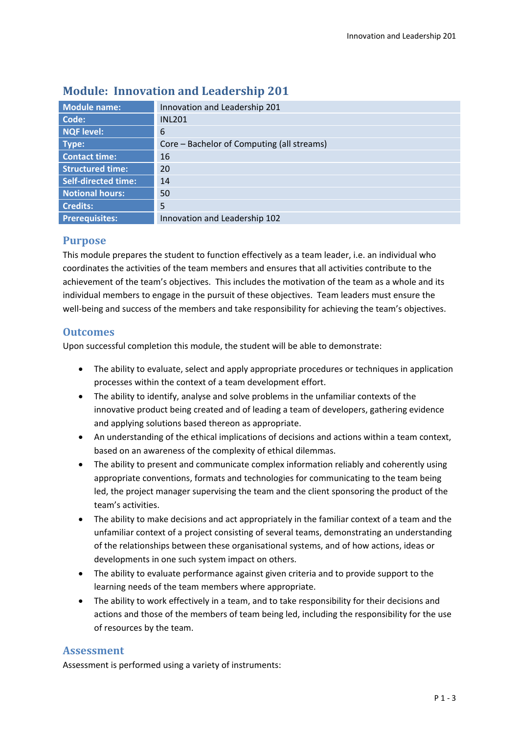| <b>Module name:</b>        | Innovation and Leadership 201              |  |  |  |
|----------------------------|--------------------------------------------|--|--|--|
| Code:                      | <b>INL201</b>                              |  |  |  |
| <b>NQF level:</b>          | 6                                          |  |  |  |
| Type:                      | Core – Bachelor of Computing (all streams) |  |  |  |
| <b>Contact time:</b>       | 16                                         |  |  |  |
| <b>Structured time:</b>    | 20                                         |  |  |  |
| <b>Self-directed time:</b> | 14                                         |  |  |  |
| <b>Notional hours:</b>     | 50                                         |  |  |  |
| <b>Credits:</b>            | 5                                          |  |  |  |
| <b>Prerequisites:</b>      | Innovation and Leadership 102              |  |  |  |
|                            |                                            |  |  |  |

# **Module: Innovation and Leadership 201**

## **Purpose**

This module prepares the student to function effectively as a team leader, i.e. an individual who coordinates the activities of the team members and ensures that all activities contribute to the achievement of the team's objectives. This includes the motivation of the team as a whole and its individual members to engage in the pursuit of these objectives. Team leaders must ensure the well-being and success of the members and take responsibility for achieving the team's objectives.

## **Outcomes**

Upon successful completion this module, the student will be able to demonstrate:

- The ability to evaluate, select and apply appropriate procedures or techniques in application processes within the context of a team development effort.
- The ability to identify, analyse and solve problems in the unfamiliar contexts of the innovative product being created and of leading a team of developers, gathering evidence and applying solutions based thereon as appropriate.
- An understanding of the ethical implications of decisions and actions within a team context, based on an awareness of the complexity of ethical dilemmas.
- The ability to present and communicate complex information reliably and coherently using appropriate conventions, formats and technologies for communicating to the team being led, the project manager supervising the team and the client sponsoring the product of the team's activities.
- The ability to make decisions and act appropriately in the familiar context of a team and the unfamiliar context of a project consisting of several teams, demonstrating an understanding of the relationships between these organisational systems, and of how actions, ideas or developments in one such system impact on others.
- The ability to evaluate performance against given criteria and to provide support to the learning needs of the team members where appropriate.
- The ability to work effectively in a team, and to take responsibility for their decisions and actions and those of the members of team being led, including the responsibility for the use of resources by the team.

## **Assessment**

Assessment is performed using a variety of instruments: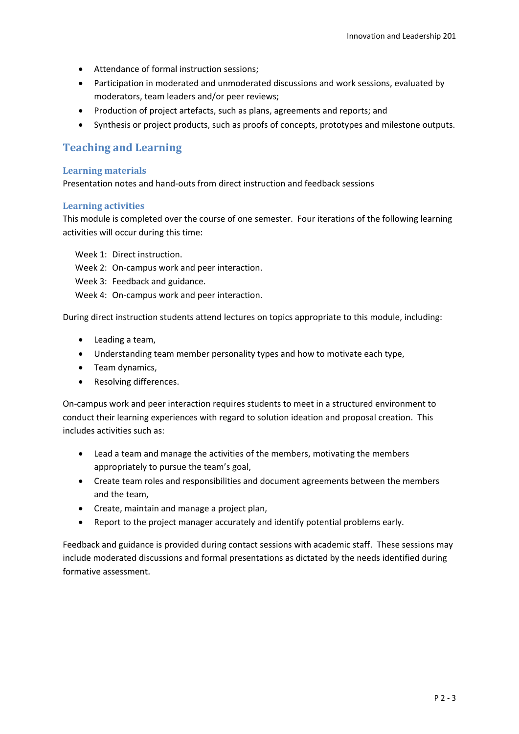- Attendance of formal instruction sessions;
- Participation in moderated and unmoderated discussions and work sessions, evaluated by moderators, team leaders and/or peer reviews;
- Production of project artefacts, such as plans, agreements and reports; and
- Synthesis or project products, such as proofs of concepts, prototypes and milestone outputs.

### **Teaching and Learning**

#### **Learning materials**

Presentation notes and hand-outs from direct instruction and feedback sessions

### **Learning activities**

This module is completed over the course of one semester. Four iterations of the following learning activities will occur during this time:

- Week 1: Direct instruction.
- Week 2: On-campus work and peer interaction.
- Week 3: Feedback and guidance.
- Week 4: On-campus work and peer interaction.

During direct instruction students attend lectures on topics appropriate to this module, including:

- Leading a team,
- Understanding team member personality types and how to motivate each type,
- Team dynamics,
- Resolving differences.

On-campus work and peer interaction requires students to meet in a structured environment to conduct their learning experiences with regard to solution ideation and proposal creation. This includes activities such as:

- Lead a team and manage the activities of the members, motivating the members appropriately to pursue the team's goal,
- Create team roles and responsibilities and document agreements between the members and the team,
- Create, maintain and manage a project plan,
- Report to the project manager accurately and identify potential problems early.

Feedback and guidance is provided during contact sessions with academic staff. These sessions may include moderated discussions and formal presentations as dictated by the needs identified during formative assessment.